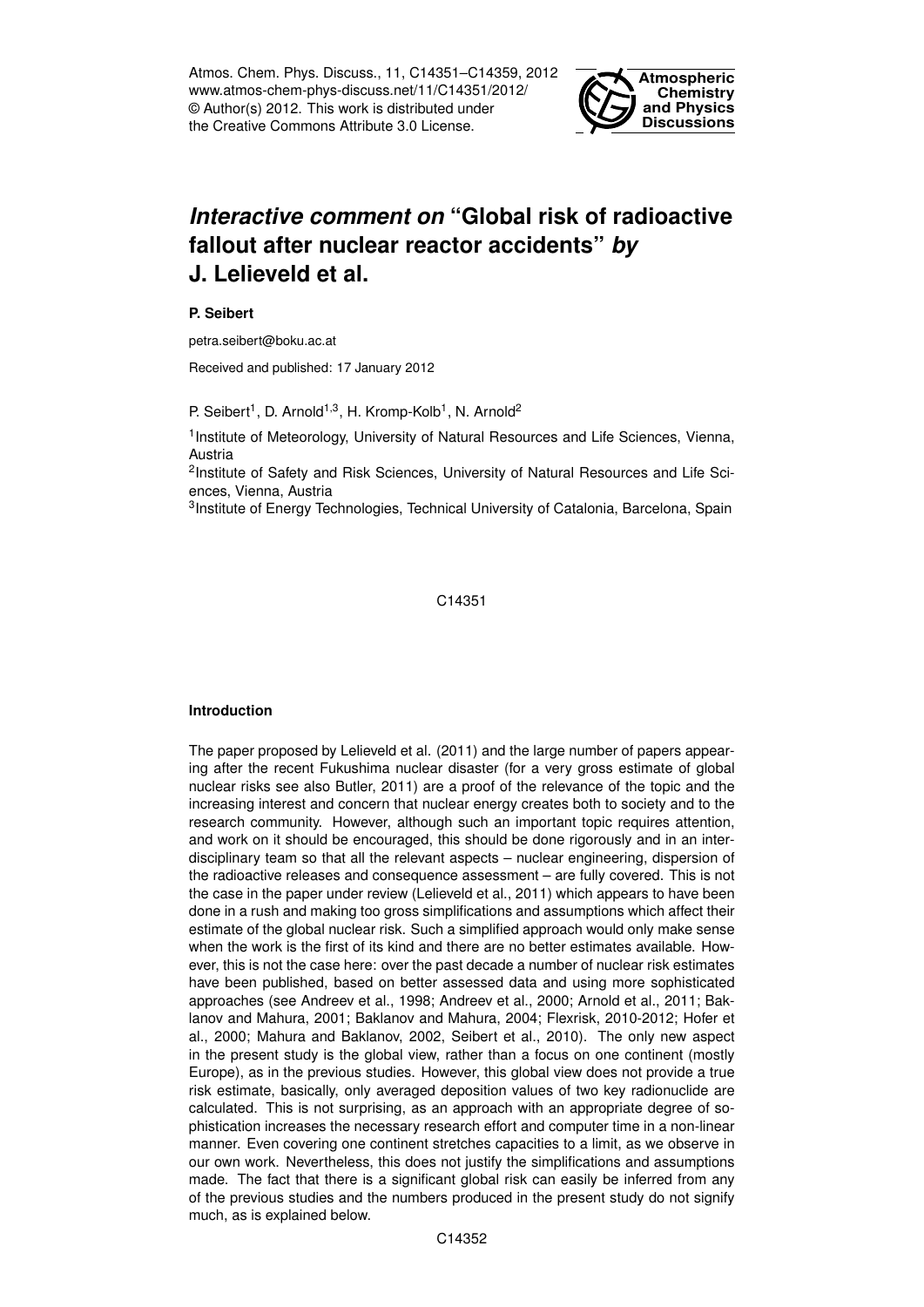Atmos. Chem. Phys. Discuss., 11, C14351–C14359, 2012 www.atmos-chem-phys-discuss.net/11/C14351/2012/ © Author(s) 2012. This work is distributed under the Creative Commons Attribute 3.0 License.



# *Interactive comment on* **"Global risk of radioactive fallout after nuclear reactor accidents"** *by* **J. Lelieveld et al.**

### **P. Seibert**

petra.seibert@boku.ac.at

Received and published: 17 January 2012

P. Seibert<sup>1</sup>, D. Arnold<sup>1,3</sup>, H. Kromp-Kolb<sup>1</sup>, N. Arnold<sup>2</sup>

<sup>1</sup> Institute of Meteorology, University of Natural Resources and Life Sciences, Vienna, Austria

<sup>2</sup>Institute of Safety and Risk Sciences, University of Natural Resources and Life Sciences, Vienna, Austria

<sup>3</sup>Institute of Energy Technologies, Technical University of Catalonia, Barcelona, Spain

C14351

# **Introduction**

The paper proposed by Lelieveld et al. (2011) and the large number of papers appearing after the recent Fukushima nuclear disaster (for a very gross estimate of global nuclear risks see also Butler, 2011) are a proof of the relevance of the topic and the increasing interest and concern that nuclear energy creates both to society and to the research community. However, although such an important topic requires attention, and work on it should be encouraged, this should be done rigorously and in an interdisciplinary team so that all the relevant aspects – nuclear engineering, dispersion of the radioactive releases and consequence assessment – are fully covered. This is not the case in the paper under review (Lelieveld et al., 2011) which appears to have been done in a rush and making too gross simplifications and assumptions which affect their estimate of the global nuclear risk. Such a simplified approach would only make sense when the work is the first of its kind and there are no better estimates available. However, this is not the case here: over the past decade a number of nuclear risk estimates have been published, based on better assessed data and using more sophisticated approaches (see Andreev et al., 1998; Andreev et al., 2000; Arnold et al., 2011; Baklanov and Mahura, 2001; Baklanov and Mahura, 2004; Flexrisk, 2010-2012; Hofer et al., 2000; Mahura and Baklanov, 2002, Seibert et al., 2010). The only new aspect in the present study is the global view, rather than a focus on one continent (mostly Europe), as in the previous studies. However, this global view does not provide a true risk estimate, basically, only averaged deposition values of two key radionuclide are calculated. This is not surprising, as an approach with an appropriate degree of sophistication increases the necessary research effort and computer time in a non-linear manner. Even covering one continent stretches capacities to a limit, as we observe in our own work. Nevertheless, this does not justify the simplifications and assumptions made. The fact that there is a significant global risk can easily be inferred from any of the previous studies and the numbers produced in the present study do not signify much, as is explained below.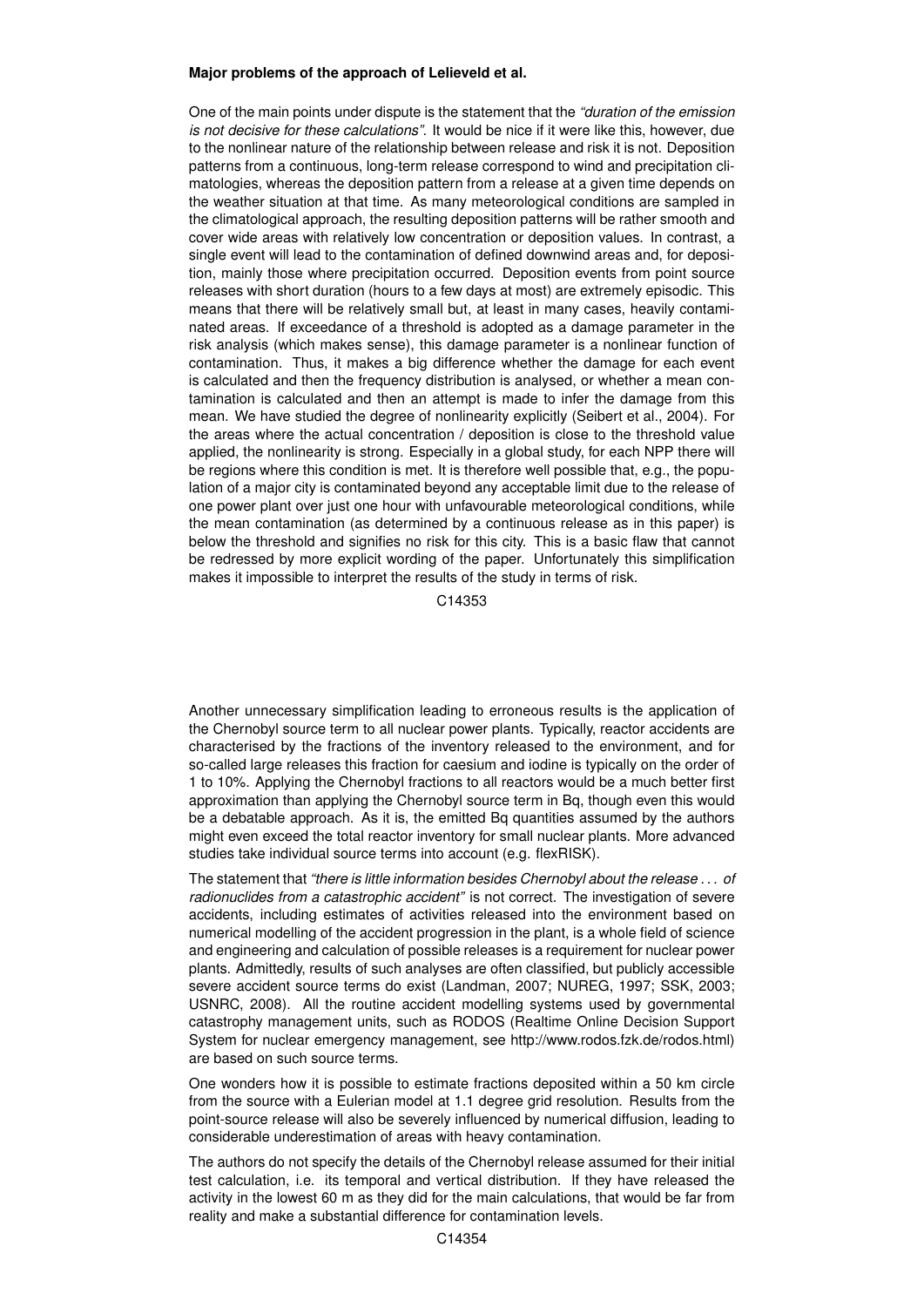#### **Major problems of the approach of Lelieveld et al.**

One of the main points under dispute is the statement that the *"duration of the emission is not decisive for these calculations"*. It would be nice if it were like this, however, due to the nonlinear nature of the relationship between release and risk it is not. Deposition patterns from a continuous, long-term release correspond to wind and precipitation climatologies, whereas the deposition pattern from a release at a given time depends on the weather situation at that time. As many meteorological conditions are sampled in the climatological approach, the resulting deposition patterns will be rather smooth and cover wide areas with relatively low concentration or deposition values. In contrast, a single event will lead to the contamination of defined downwind areas and, for deposition, mainly those where precipitation occurred. Deposition events from point source releases with short duration (hours to a few days at most) are extremely episodic. This means that there will be relatively small but, at least in many cases, heavily contaminated areas. If exceedance of a threshold is adopted as a damage parameter in the risk analysis (which makes sense), this damage parameter is a nonlinear function of contamination. Thus, it makes a big difference whether the damage for each event is calculated and then the frequency distribution is analysed, or whether a mean contamination is calculated and then an attempt is made to infer the damage from this mean. We have studied the degree of nonlinearity explicitly (Seibert et al., 2004). For the areas where the actual concentration / deposition is close to the threshold value applied, the nonlinearity is strong. Especially in a global study, for each NPP there will be regions where this condition is met. It is therefore well possible that, e.g., the population of a major city is contaminated beyond any acceptable limit due to the release of one power plant over just one hour with unfavourable meteorological conditions, while the mean contamination (as determined by a continuous release as in this paper) is below the threshold and signifies no risk for this city. This is a basic flaw that cannot be redressed by more explicit wording of the paper. Unfortunately this simplification makes it impossible to interpret the results of the study in terms of risk.

C14353

Another unnecessary simplification leading to erroneous results is the application of the Chernobyl source term to all nuclear power plants. Typically, reactor accidents are characterised by the fractions of the inventory released to the environment, and for so-called large releases this fraction for caesium and iodine is typically on the order of 1 to 10%. Applying the Chernobyl fractions to all reactors would be a much better first approximation than applying the Chernobyl source term in Bq, though even this would be a debatable approach. As it is, the emitted Bq quantities assumed by the authors might even exceed the total reactor inventory for small nuclear plants. More advanced studies take individual source terms into account (e.g. flexRISK).

The statement that *"there is little information besides Chernobyl about the release . . . of radionuclides from a catastrophic accident"* is not correct. The investigation of severe accidents, including estimates of activities released into the environment based on numerical modelling of the accident progression in the plant, is a whole field of science and engineering and calculation of possible releases is a requirement for nuclear power plants. Admittedly, results of such analyses are often classified, but publicly accessible severe accident source terms do exist (Landman, 2007; NUREG, 1997; SSK, 2003; USNRC, 2008). All the routine accident modelling systems used by governmental catastrophy management units, such as RODOS (Realtime Online Decision Support System for nuclear emergency management, see http://www.rodos.fzk.de/rodos.html) are based on such source terms.

One wonders how it is possible to estimate fractions deposited within a 50 km circle from the source with a Eulerian model at 1.1 degree grid resolution. Results from the point-source release will also be severely influenced by numerical diffusion, leading to considerable underestimation of areas with heavy contamination.

The authors do not specify the details of the Chernobyl release assumed for their initial test calculation, i.e. its temporal and vertical distribution. If they have released the activity in the lowest 60 m as they did for the main calculations, that would be far from reality and make a substantial difference for contamination levels.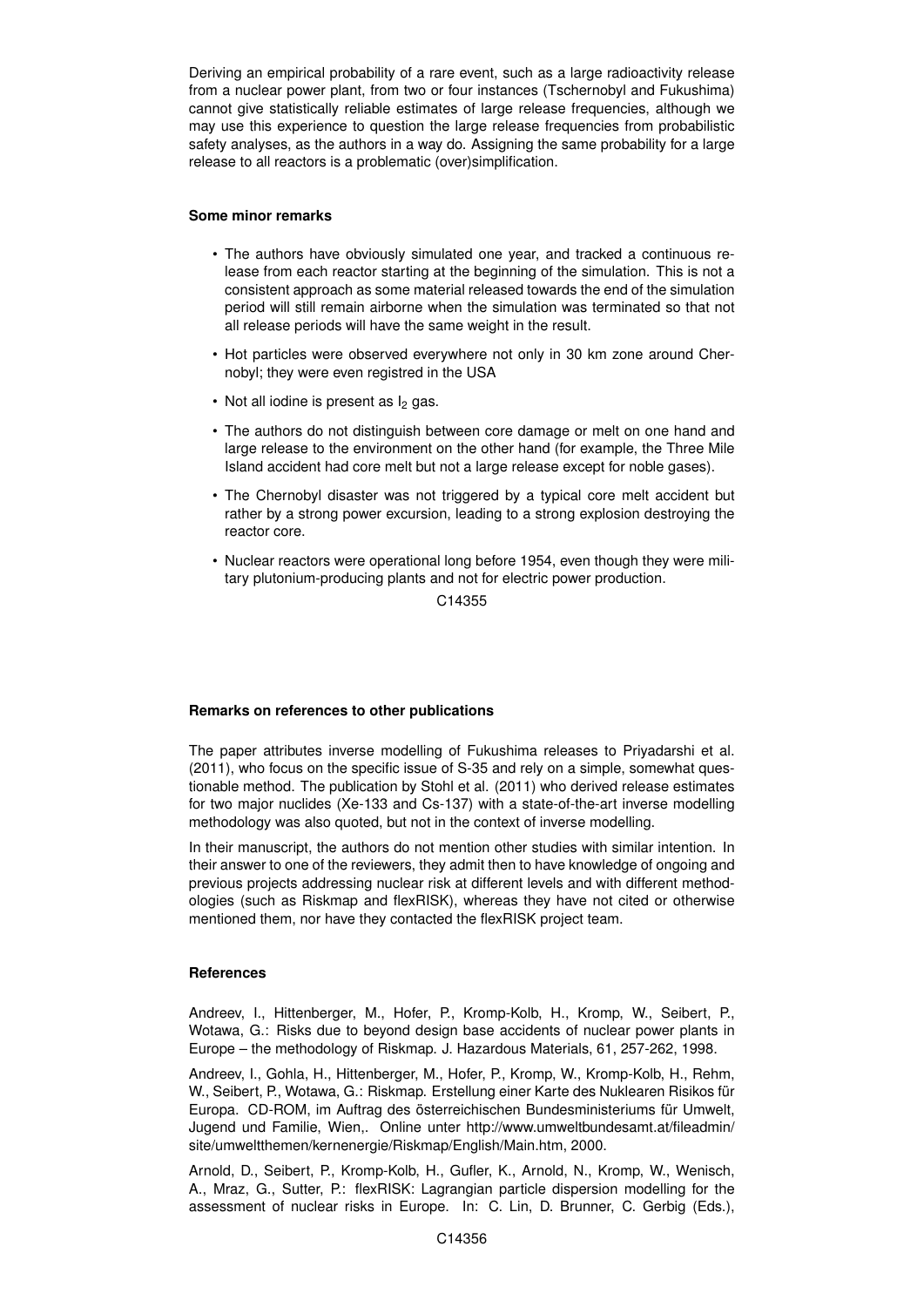Deriving an empirical probability of a rare event, such as a large radioactivity release from a nuclear power plant, from two or four instances (Tschernobyl and Fukushima) cannot give statistically reliable estimates of large release frequencies, although we may use this experience to question the large release frequencies from probabilistic safety analyses, as the authors in a way do. Assigning the same probability for a large release to all reactors is a problematic (over)simplification.

## **Some minor remarks**

- The authors have obviously simulated one year, and tracked a continuous release from each reactor starting at the beginning of the simulation. This is not a consistent approach as some material released towards the end of the simulation period will still remain airborne when the simulation was terminated so that not all release periods will have the same weight in the result.
- Hot particles were observed everywhere not only in 30 km zone around Chernobyl; they were even registred in the USA
- $\cdot$  Not all iodine is present as  $\frac{1}{2}$  gas.
- The authors do not distinguish between core damage or melt on one hand and large release to the environment on the other hand (for example, the Three Mile Island accident had core melt but not a large release except for noble gases).
- The Chernobyl disaster was not triggered by a typical core melt accident but rather by a strong power excursion, leading to a strong explosion destroying the reactor core.
- Nuclear reactors were operational long before 1954, even though they were military plutonium-producing plants and not for electric power production.

C14355

# **Remarks on references to other publications**

The paper attributes inverse modelling of Fukushima releases to Priyadarshi et al. (2011), who focus on the specific issue of S-35 and rely on a simple, somewhat questionable method. The publication by Stohl et al. (2011) who derived release estimates for two major nuclides (Xe-133 and Cs-137) with a state-of-the-art inverse modelling methodology was also quoted, but not in the context of inverse modelling.

In their manuscript, the authors do not mention other studies with similar intention. In their answer to one of the reviewers, they admit then to have knowledge of ongoing and previous projects addressing nuclear risk at different levels and with different methodologies (such as Riskmap and flexRISK), whereas they have not cited or otherwise mentioned them, nor have they contacted the flexRISK project team.

# **References**

Andreev, I., Hittenberger, M., Hofer, P., Kromp-Kolb, H., Kromp, W., Seibert, P., Wotawa, G.: Risks due to beyond design base accidents of nuclear power plants in Europe – the methodology of Riskmap. J. Hazardous Materials, 61, 257-262, 1998.

Andreev, I., Gohla, H., Hittenberger, M., Hofer, P., Kromp, W., Kromp-Kolb, H., Rehm, W., Seibert, P., Wotawa, G.: Riskmap. Erstellung einer Karte des Nuklearen Risikos für Europa. CD-ROM, im Auftrag des österreichischen Bundesministeriums für Umwelt, Jugend und Familie, Wien,. Online unter http://www.umweltbundesamt.at/fileadmin/ site/umweltthemen/kernenergie/Riskmap/English/Main.htm, 2000.

Arnold, D., Seibert, P., Kromp-Kolb, H., Gufler, K., Arnold, N., Kromp, W., Wenisch, A., Mraz, G., Sutter, P.: flexRISK: Lagrangian particle dispersion modelling for the assessment of nuclear risks in Europe. In: C. Lin, D. Brunner, C. Gerbig (Eds.),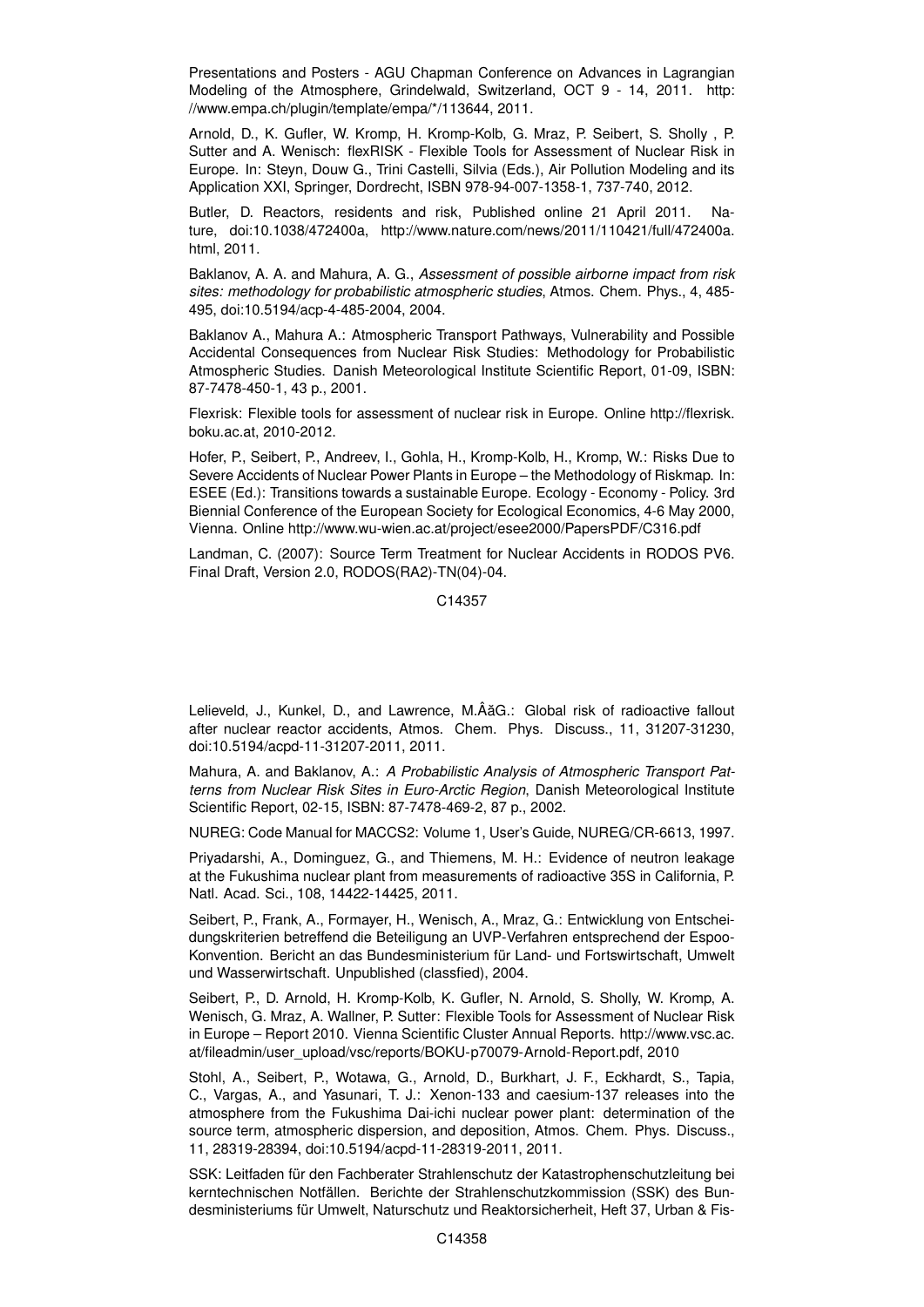Presentations and Posters - AGU Chapman Conference on Advances in Lagrangian Modeling of the Atmosphere, Grindelwald, Switzerland, OCT 9 - 14, 2011. http: //www.empa.ch/plugin/template/empa/\*/113644, 2011.

Arnold, D., K. Gufler, W. Kromp, H. Kromp-Kolb, G. Mraz, P. Seibert, S. Sholly , P. Sutter and A. Wenisch: flexRISK - Flexible Tools for Assessment of Nuclear Risk in Europe. In: Steyn, Douw G., Trini Castelli, Silvia (Eds.), Air Pollution Modeling and its Application XXI, Springer, Dordrecht, ISBN 978-94-007-1358-1, 737-740, 2012.

Butler, D. Reactors, residents and risk, Published online 21 April 2011. Nature, doi:10.1038/472400a, http://www.nature.com/news/2011/110421/full/472400a. html, 2011.

Baklanov, A. A. and Mahura, A. G., *Assessment of possible airborne impact from risk sites: methodology for probabilistic atmospheric studies*, Atmos. Chem. Phys., 4, 485- 495, doi:10.5194/acp-4-485-2004, 2004.

Baklanov A., Mahura A.: Atmospheric Transport Pathways, Vulnerability and Possible Accidental Consequences from Nuclear Risk Studies: Methodology for Probabilistic Atmospheric Studies. Danish Meteorological Institute Scientific Report, 01-09, ISBN: 87-7478-450-1, 43 p., 2001.

Flexrisk: Flexible tools for assessment of nuclear risk in Europe. Online http://flexrisk. boku.ac.at, 2010-2012.

Hofer, P., Seibert, P., Andreev, I., Gohla, H., Kromp-Kolb, H., Kromp, W.: Risks Due to Severe Accidents of Nuclear Power Plants in Europe – the Methodology of Riskmap. In: ESEE (Ed.): Transitions towards a sustainable Europe. Ecology - Economy - Policy. 3rd Biennial Conference of the European Society for Ecological Economics, 4-6 May 2000, Vienna. Online http://www.wu-wien.ac.at/project/esee2000/PapersPDF/C316.pdf

Landman, C. (2007): Source Term Treatment for Nuclear Accidents in RODOS PV6. Final Draft, Version 2.0, RODOS(RA2)-TN(04)-04.

C14357

Lelieveld, J., Kunkel, D., and Lawrence, M.ÂăG.: Global risk of radioactive fallout after nuclear reactor accidents, Atmos. Chem. Phys. Discuss., 11, 31207-31230, doi:10.5194/acpd-11-31207-2011, 2011.

Mahura, A. and Baklanov, A.: *A Probabilistic Analysis of Atmospheric Transport Patterns from Nuclear Risk Sites in Euro-Arctic Region*, Danish Meteorological Institute Scientific Report, 02-15, ISBN: 87-7478-469-2, 87 p., 2002.

NUREG: Code Manual for MACCS2: Volume 1, User's Guide, NUREG/CR-6613, 1997.

Priyadarshi, A., Dominguez, G., and Thiemens, M. H.: Evidence of neutron leakage at the Fukushima nuclear plant from measurements of radioactive 35S in California, P. Natl. Acad. Sci., 108, 14422-14425, 2011.

Seibert, P., Frank, A., Formayer, H., Wenisch, A., Mraz, G.: Entwicklung von Entscheidungskriterien betreffend die Beteiligung an UVP-Verfahren entsprechend der Espoo-Konvention. Bericht an das Bundesministerium für Land- und Fortswirtschaft, Umwelt und Wasserwirtschaft. Unpublished (classfied), 2004.

Seibert, P., D. Arnold, H. Kromp-Kolb, K. Gufler, N. Arnold, S. Sholly, W. Kromp, A. Wenisch, G. Mraz, A. Wallner, P. Sutter: Flexible Tools for Assessment of Nuclear Risk in Europe – Report 2010. Vienna Scientific Cluster Annual Reports. http://www.vsc.ac. at/fileadmin/user\_upload/vsc/reports/BOKU-p70079-Arnold-Report.pdf, 2010

Stohl, A., Seibert, P., Wotawa, G., Arnold, D., Burkhart, J. F., Eckhardt, S., Tapia, C., Vargas, A., and Yasunari, T. J.: Xenon-133 and caesium-137 releases into the atmosphere from the Fukushima Dai-ichi nuclear power plant: determination of the source term, atmospheric dispersion, and deposition, Atmos. Chem. Phys. Discuss., 11, 28319-28394, doi:10.5194/acpd-11-28319-2011, 2011.

SSK: Leitfaden für den Fachberater Strahlenschutz der Katastrophenschutzleitung bei kerntechnischen Notfällen. Berichte der Strahlenschutzkommission (SSK) des Bundesministeriums für Umwelt, Naturschutz und Reaktorsicherheit, Heft 37, Urban & Fis